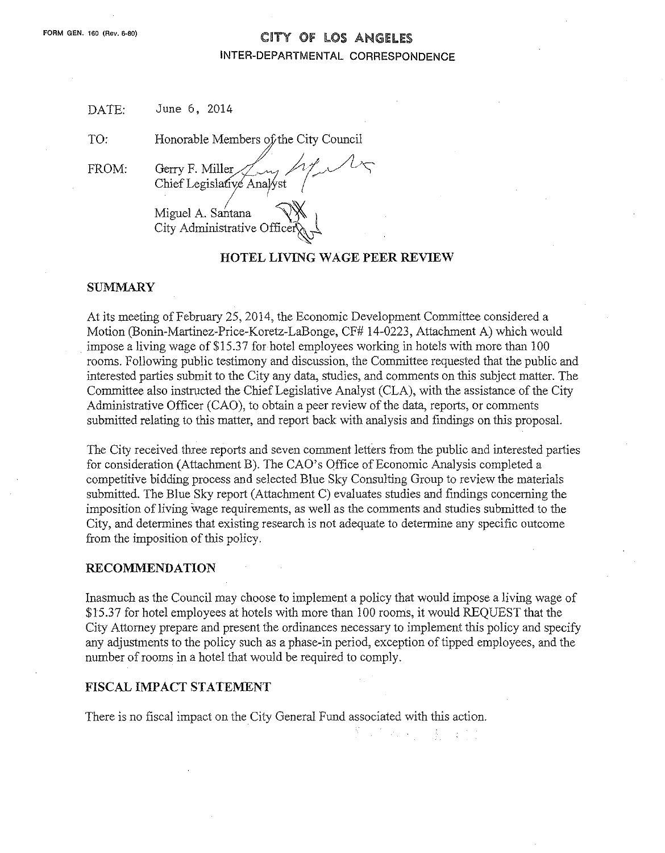# **FORM GEN. <sup>160</sup>** (Rev. 6-80) CITY Of lOS ANGELES INTER-DEPARTMENTAL CORRESPONDENCE

| DATE: |  | June 6, 2014 |
|-------|--|--------------|
|       |  |              |

TO: Honorable Members of the City Council

FROM:

Gerry F. Miller Chief Legislative Analyst

Miguel A. Santana City Administrative Office,~

## HOTEL LIVING WAGE PEER REVIEW

## SUMMARY

At its meeting of February 25, 2014, the Economic Development Committee considered a Motion (Bonin-Martinez-Price-Koretz-LaBonge, CF# 14-0223, Attachment A) which would impose a living wage of \$15.37 for hotel employees working in hotels with more than 100 rooms. Following public testimony and discussion, the Committee requested that the public and interested parties submit to the City any data, studies, and comments on this subject matter. The Committee also instructed the Chief Legislative Analyst (CLA), with the assistance of the City Administrative Officer (CAO), to obtain a peer review of the data, reports, or comments submitted relating to this matter, and report back with analysis and findings on this proposal.

The City received three reports and seven comment letters from the public and interested parties for consideration (Attachment B). The CAO's Office of Economic Analysis completed a competitive bidding process and selected Blue Sky Consulting Group to review the materials submitted. The Blue Sky report (Attachment C) evaluates studies and findings concerning the imposition of living wage requirements, as well as the comments and studies submitted to the City, and determines that existing research is not adequate to determine any specific outcome from the imposition of this policy.

#### RECOMMENDATION

Inasmuch as the Council may choose to implement a policy that would impose a living wage of \$15.37 for hotel employees at hotels with more than 100 rooms, it would REQUEST that the City Attorney prepare and present the ordinances necessary to implement this policy and specify any adjustments to the policy such as a phase-in period, exception of tipped employees, and the number of rooms in a hotel that would be required to comply.

 $\mathcal{P}_\text{in} = \mathcal{Q}$  .

 $\mathcal{A}$ 

ige foar

## FISCAL IMPACT STATEMENT

There is no fiscal impact on the City General Fund associated with this action.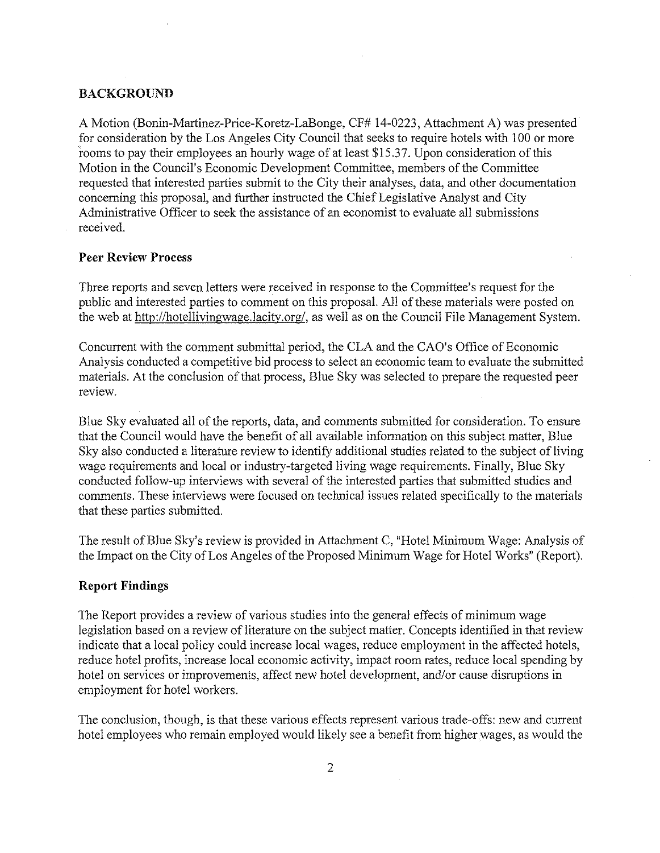#### **BACKGROUND**

A Motion (Bonin-Martinez-Price-Koretz-LaBonge, CF# 14-0223, Attachment A) was presented for consideration by the Los Angeles City Council that seeks to require hotels with 100 or more rooms to pay their employees an hourly wage of at least \$15.37. Upon consideration of this Motion in the Council's Economic Development Committee, members of the Committee requested that interested parties submit to the City their analyses, data, and other documentation concerning this proposal, and further instmcted the Chief Legislative Analyst and City Administrative Officer to seek the assistance of an economist to evaluate all submissions received.

#### **Peer Review Process**

Three reports and seven letters were received in response to the Committee's request for the public and interested parties to comment on this proposal. All of these materials were posted on the web at http://hotellivingwage.lacity.org/, as well as on the Council File Management System.

Concurrent with the comment submittal period, the CLA and the CAO's Office of Economic Analysis conducted a competitive bid process to select an economic team to evaluate the submitted materials. At the conclusion of that process, Blue Sky was selected to prepare the requested peer review.

Blue Sky evaluated all of the reports, data, and comments submitted for consideration. To ensure that the Council would have the benefit of all available information on this subject matter, Blue Sky also conducted a literature review to identify additional studies related to the subject of living wage requirements and local or industry-targeted living wage requirements. Finally, Blue Sky conducted follow-up interviews with several of the interested parties that submitted studies and comments. These interviews were focused on technical issues related specifically to the materials that these parties submitted.

The result of Blue Sky's review is provided in Attachment C, "Hotel Minimum Wage: Analysis of the Impact on the City of Los Angeles of the Proposed Minimum Wage for Hotel Works" (Report).

#### **Report Findings**

The Report provides a review of various studies into the general effects of minimum wage legislation based on a review of literature on the subject matter. Concepts identified in that review indicate that a local policy could increase local wages, reduce employment in the affected hotels, reduee hotel profits, increase local economic activity, impact room rates, reduce local spending by hotel on services or improvements, affect new hotel development, and/or cause disruptions in employment for hotel workers.

The conclusion, though, is that these various effects represent various trade-offs: new and current hotel employees who remain employed would likely see a benefit from higher wages, as would the